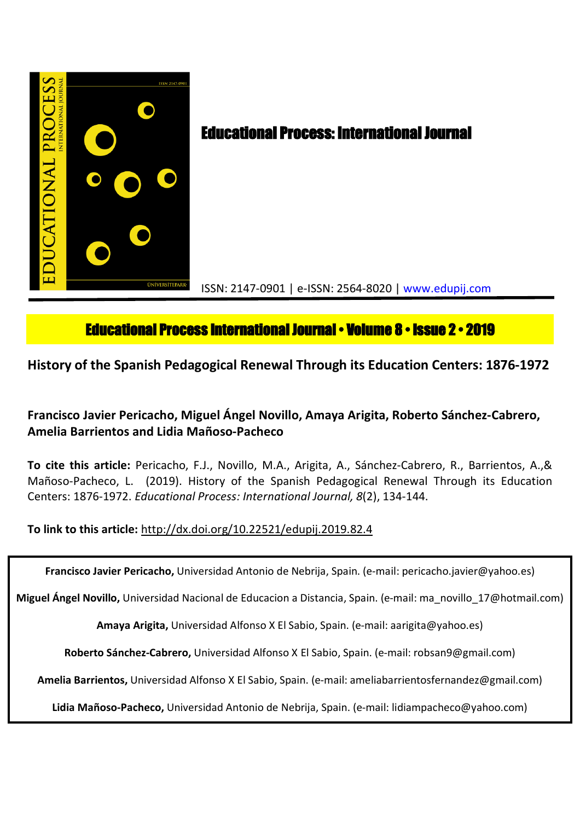

# **Educational Process International Journal • Volume 8 • Issue 2 • 2019**

**History of the Spanish Pedagogical Renewal Through its Education Centers: 1876-1972**

## **Francisco Javier Pericacho, Miguel Ángel Novillo, Amaya Arigita, Roberto Sánchez-Cabrero, Amelia Barrientos and Lidia Mañoso-Pacheco**

**To cite this article:** Pericacho, F.J., Novillo, M.A., Arigita, A., Sánchez-Cabrero, R., Barrientos, A.,& Mañoso-Pacheco, L. (2019). History of the Spanish Pedagogical Renewal Through its Education Centers: 1876-1972. *Educational Process: International Journal, 8*(2), 134-144.

**To link to this article:** http://dx.doi.org/10.22521/edupij.2019.82.4

**Francisco Javier Pericacho,** Universidad Antonio de Nebrija, Spain. (e-mail: pericacho.javier@yahoo.es)

**Miguel Ángel Novillo,** Universidad Nacional de Educacion a Distancia, Spain. (e-mail: ma\_novillo\_17@hotmail.com)

**Amaya Arigita,** Universidad Alfonso X El Sabio, Spain. (e-mail: aarigita@yahoo.es)

**Roberto Sánchez-Cabrero,** Universidad Alfonso X El Sabio, Spain. (e-mail: robsan9@gmail.com)

**Amelia Barrientos,** Universidad Alfonso X El Sabio, Spain. (e-mail: ameliabarrientosfernandez@gmail.com)

**Lidia Mañoso-Pacheco,** Universidad Antonio de Nebrija, Spain. (e-mail: lidiampacheco@yahoo.com)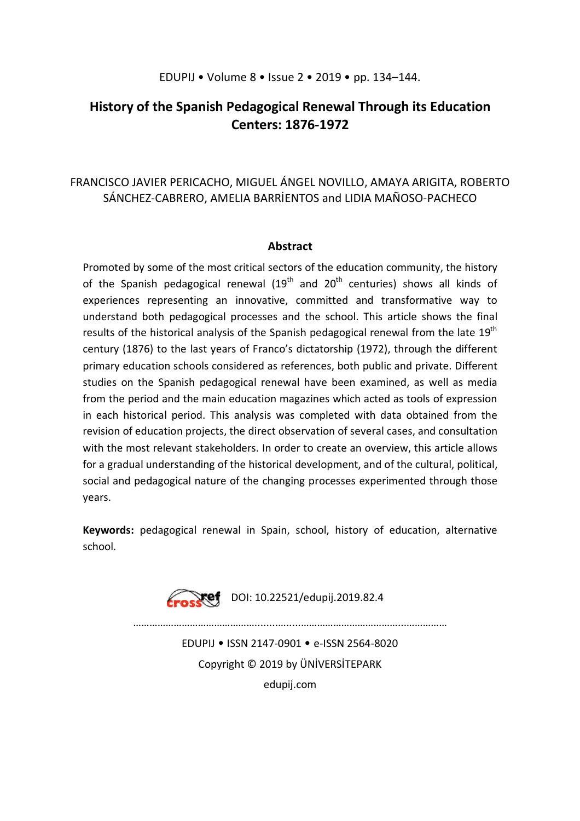## EDUPIJ • Volume 8 • Issue 2 • 2019 • pp. 134–144.

## **History of the Spanish Pedagogical Renewal Through its Education Centers: 1876-1972**

## FRANCISCO JAVIER PERICACHO, MIGUEL ÁNGEL NOVILLO, AMAYA ARIGITA, ROBERTO SÁNCHEZ-CABRERO, AMELIA BARRİENTOS and LIDIA MAÑOSO-PACHECO

## **Abstract**

Promoted by some of the most critical sectors of the education community, the history of the Spanish pedagogical renewal  $(19<sup>th</sup>$  and  $20<sup>th</sup>$  centuries) shows all kinds of experiences representing an innovative, committed and transformative way to understand both pedagogical processes and the school. This article shows the final results of the historical analysis of the Spanish pedagogical renewal from the late 19<sup>th</sup> century (1876) to the last years of Franco's dictatorship (1972), through the different primary education schools considered as references, both public and private. Different studies on the Spanish pedagogical renewal have been examined, as well as media from the period and the main education magazines which acted as tools of expression in each historical period. This analysis was completed with data obtained from the revision of education projects, the direct observation of several cases, and consultation with the most relevant stakeholders. In order to create an overview, this article allows for a gradual understanding of the historical development, and of the cultural, political, social and pedagogical nature of the changing processes experimented through those years.

**Keywords:** pedagogical renewal in Spain, school, history of education, alternative school.

Free DOI: 10.22521/edupij.2019.82.4

………………………………………........….....………………………………...……………

EDUPIJ • ISSN 2147-0901 • e-ISSN 2564-8020 Copyright © 2019 by ÜNİVERSİTEPARK edupij.com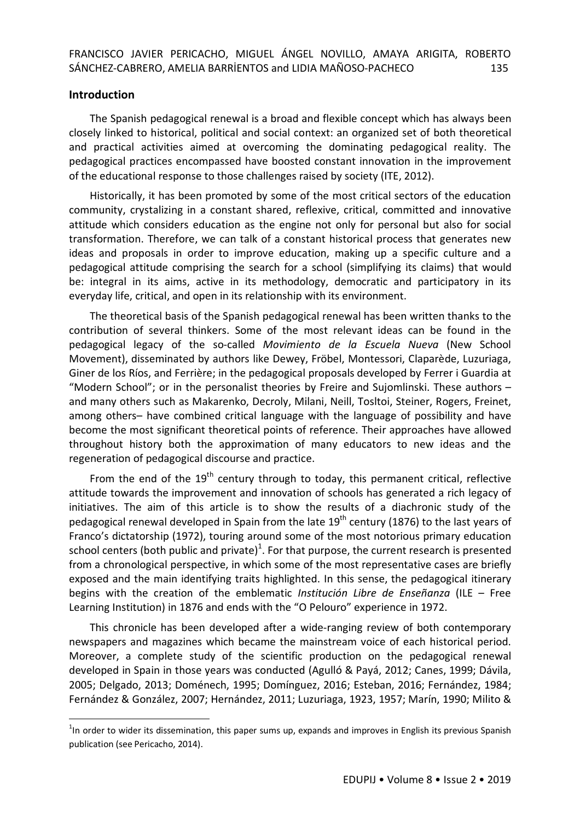## **Introduction**

 $\ddot{\phantom{a}}$ 

The Spanish pedagogical renewal is a broad and flexible concept which has always been closely linked to historical, political and social context: an organized set of both theoretical and practical activities aimed at overcoming the dominating pedagogical reality. The pedagogical practices encompassed have boosted constant innovation in the improvement of the educational response to those challenges raised by society (ITE, 2012).

Historically, it has been promoted by some of the most critical sectors of the education community, crystalizing in a constant shared, reflexive, critical, committed and innovative attitude which considers education as the engine not only for personal but also for social transformation. Therefore, we can talk of a constant historical process that generates new ideas and proposals in order to improve education, making up a specific culture and a pedagogical attitude comprising the search for a school (simplifying its claims) that would be: integral in its aims, active in its methodology, democratic and participatory in its everyday life, critical, and open in its relationship with its environment.

The theoretical basis of the Spanish pedagogical renewal has been written thanks to the contribution of several thinkers. Some of the most relevant ideas can be found in the pedagogical legacy of the so-called *Movimiento de la Escuela Nueva* (New School Movement), disseminated by authors like Dewey, Fröbel, Montessori, Claparède, Luzuriaga, Giner de los Ríos, and Ferrière; in the pedagogical proposals developed by Ferrer i Guardia at "Modern School"; or in the personalist theories by Freire and Sujomlinski. These authors – and many others such as Makarenko, Decroly, Milani, Neill, Tosltoi, Steiner, Rogers, Freinet, among others– have combined critical language with the language of possibility and have become the most significant theoretical points of reference. Their approaches have allowed throughout history both the approximation of many educators to new ideas and the regeneration of pedagogical discourse and practice.

From the end of the  $19<sup>th</sup>$  century through to today, this permanent critical, reflective attitude towards the improvement and innovation of schools has generated a rich legacy of initiatives. The aim of this article is to show the results of a diachronic study of the pedagogical renewal developed in Spain from the late  $19<sup>th</sup>$  century (1876) to the last years of Franco's dictatorship (1972), touring around some of the most notorious primary education school centers (both public and private)<sup>1</sup>. For that purpose, the current research is presented from a chronological perspective, in which some of the most representative cases are briefly exposed and the main identifying traits highlighted. In this sense, the pedagogical itinerary begins with the creation of the emblematic *Institución Libre de Enseñanza* (ILE – Free Learning Institution) in 1876 and ends with the "O Pelouro" experience in 1972.

This chronicle has been developed after a wide-ranging review of both contemporary newspapers and magazines which became the mainstream voice of each historical period. Moreover, a complete study of the scientific production on the pedagogical renewal developed in Spain in those years was conducted (Agulló & Payá, 2012; Canes, 1999; Dávila, 2005; Delgado, 2013; Doménech, 1995; Domínguez, 2016; Esteban, 2016; Fernández, 1984; Fernández & González, 2007; Hernández, 2011; Luzuriaga, 1923, 1957; Marín, 1990; Milito &

 $1$ In order to wider its dissemination, this paper sums up, expands and improves in English its previous Spanish publication (see Pericacho, 2014).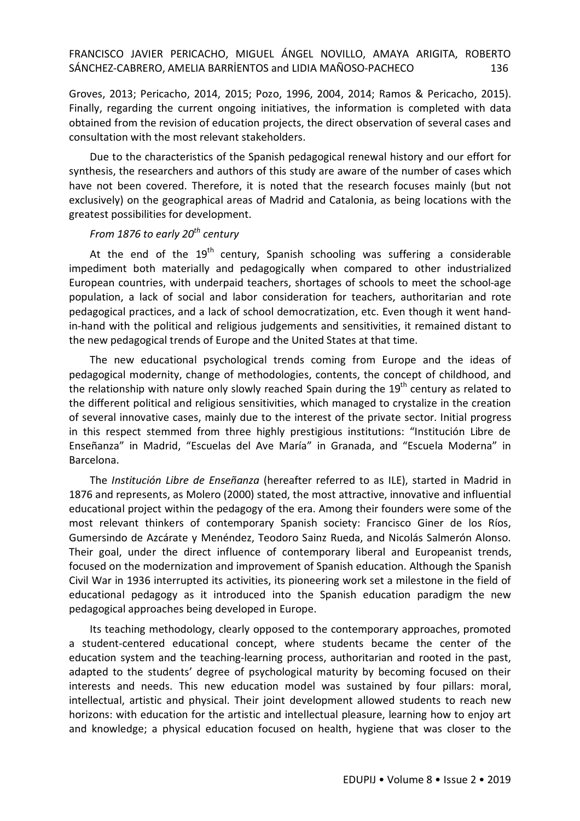Groves, 2013; Pericacho, 2014, 2015; Pozo, 1996, 2004, 2014; Ramos & Pericacho, 2015). Finally, regarding the current ongoing initiatives, the information is completed with data obtained from the revision of education projects, the direct observation of several cases and consultation with the most relevant stakeholders.

Due to the characteristics of the Spanish pedagogical renewal history and our effort for synthesis, the researchers and authors of this study are aware of the number of cases which have not been covered. Therefore, it is noted that the research focuses mainly (but not exclusively) on the geographical areas of Madrid and Catalonia, as being locations with the greatest possibilities for development.

## *From 1876 to early 20th century*

At the end of the  $19<sup>th</sup>$  century, Spanish schooling was suffering a considerable impediment both materially and pedagogically when compared to other industrialized European countries, with underpaid teachers, shortages of schools to meet the school-age population, a lack of social and labor consideration for teachers, authoritarian and rote pedagogical practices, and a lack of school democratization, etc. Even though it went handin-hand with the political and religious judgements and sensitivities, it remained distant to the new pedagogical trends of Europe and the United States at that time.

The new educational psychological trends coming from Europe and the ideas of pedagogical modernity, change of methodologies, contents, the concept of childhood, and the relationship with nature only slowly reached Spain during the  $19<sup>th</sup>$  century as related to the different political and religious sensitivities, which managed to crystalize in the creation of several innovative cases, mainly due to the interest of the private sector. Initial progress in this respect stemmed from three highly prestigious institutions: "Institución Libre de Enseñanza" in Madrid, "Escuelas del Ave María" in Granada, and "Escuela Moderna" in Barcelona.

The *Institución Libre de Enseñanza* (hereafter referred to as ILE), started in Madrid in 1876 and represents, as Molero (2000) stated, the most attractive, innovative and influential educational project within the pedagogy of the era. Among their founders were some of the most relevant thinkers of contemporary Spanish society: Francisco Giner de los Ríos, Gumersindo de Azcárate y Menéndez, Teodoro Sainz Rueda, and Nicolás Salmerón Alonso. Their goal, under the direct influence of contemporary liberal and Europeanist trends, focused on the modernization and improvement of Spanish education. Although the Spanish Civil War in 1936 interrupted its activities, its pioneering work set a milestone in the field of educational pedagogy as it introduced into the Spanish education paradigm the new pedagogical approaches being developed in Europe.

Its teaching methodology, clearly opposed to the contemporary approaches, promoted a student-centered educational concept, where students became the center of the education system and the teaching-learning process, authoritarian and rooted in the past, adapted to the students' degree of psychological maturity by becoming focused on their interests and needs. This new education model was sustained by four pillars: moral, intellectual, artistic and physical. Their joint development allowed students to reach new horizons: with education for the artistic and intellectual pleasure, learning how to enjoy art and knowledge; a physical education focused on health, hygiene that was closer to the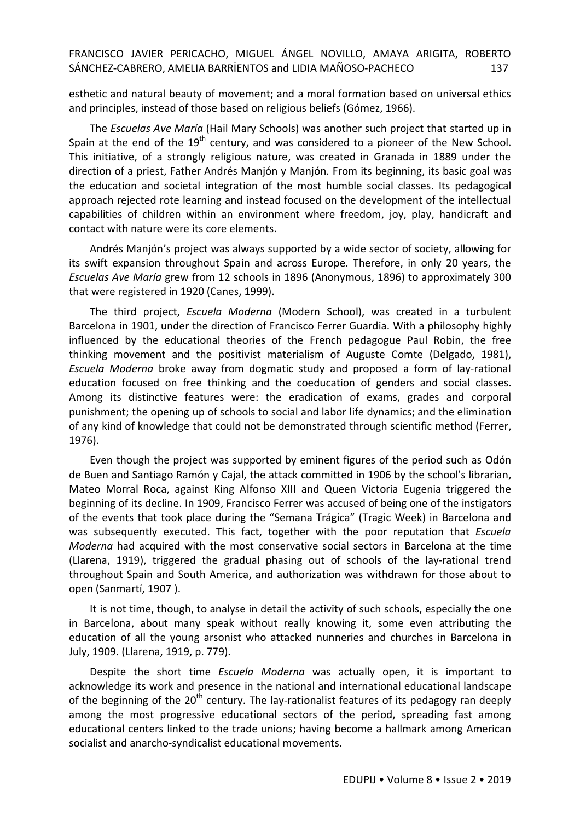esthetic and natural beauty of movement; and a moral formation based on universal ethics and principles, instead of those based on religious beliefs (Gómez, 1966).

The *Escuelas Ave María* (Hail Mary Schools) was another such project that started up in Spain at the end of the 19<sup>th</sup> century, and was considered to a pioneer of the New School. This initiative, of a strongly religious nature, was created in Granada in 1889 under the direction of a priest, Father Andrés Manjón y Manjón. From its beginning, its basic goal was the education and societal integration of the most humble social classes. Its pedagogical approach rejected rote learning and instead focused on the development of the intellectual capabilities of children within an environment where freedom, joy, play, handicraft and contact with nature were its core elements.

Andrés Manjón's project was always supported by a wide sector of society, allowing for its swift expansion throughout Spain and across Europe. Therefore, in only 20 years, the *Escuelas Ave María* grew from 12 schools in 1896 (Anonymous, 1896) to approximately 300 that were registered in 1920 (Canes, 1999).

The third project, *Escuela Moderna* (Modern School), was created in a turbulent Barcelona in 1901, under the direction of Francisco Ferrer Guardia. With a philosophy highly influenced by the educational theories of the French pedagogue Paul Robin, the free thinking movement and the positivist materialism of Auguste Comte (Delgado, 1981), *Escuela Moderna* broke away from dogmatic study and proposed a form of lay-rational education focused on free thinking and the coeducation of genders and social classes. Among its distinctive features were: the eradication of exams, grades and corporal punishment; the opening up of schools to social and labor life dynamics; and the elimination of any kind of knowledge that could not be demonstrated through scientific method (Ferrer, 1976).

Even though the project was supported by eminent figures of the period such as Odón de Buen and Santiago Ramón y Cajal, the attack committed in 1906 by the school's librarian, Mateo Morral Roca, against King Alfonso XIII and Queen Victoria Eugenia triggered the beginning of its decline. In 1909, Francisco Ferrer was accused of being one of the instigators of the events that took place during the "Semana Trágica" (Tragic Week) in Barcelona and was subsequently executed. This fact, together with the poor reputation that *Escuela Moderna* had acquired with the most conservative social sectors in Barcelona at the time (Llarena, 1919), triggered the gradual phasing out of schools of the lay-rational trend throughout Spain and South America, and authorization was withdrawn for those about to open (Sanmartí, 1907 ).

It is not time, though, to analyse in detail the activity of such schools, especially the one in Barcelona, about many speak without really knowing it, some even attributing the education of all the young arsonist who attacked nunneries and churches in Barcelona in July, 1909. (Llarena, 1919, p. 779).

Despite the short time *Escuela Moderna* was actually open, it is important to acknowledge its work and presence in the national and international educational landscape of the beginning of the  $20<sup>th</sup>$  century. The lay-rationalist features of its pedagogy ran deeply among the most progressive educational sectors of the period, spreading fast among educational centers linked to the trade unions; having become a hallmark among American socialist and anarcho-syndicalist educational movements.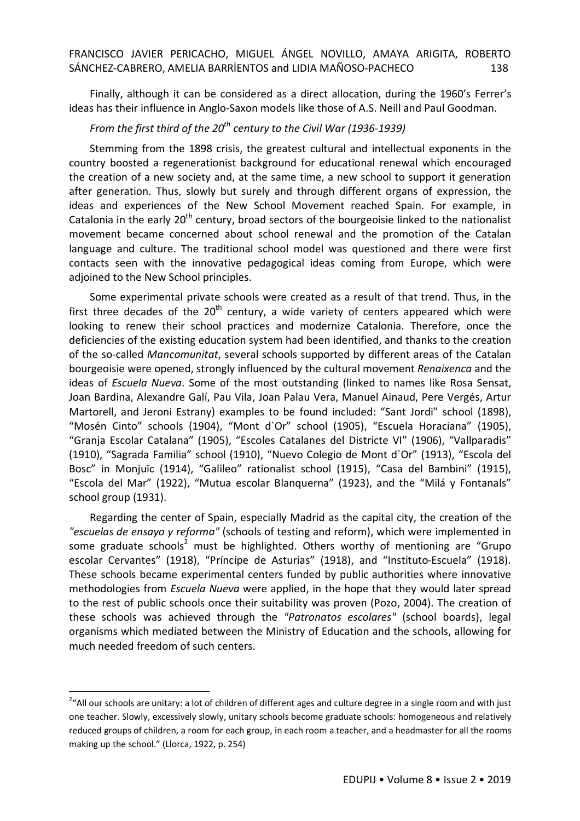Finally, although it can be considered as a direct allocation, during the 1960's Ferrer's ideas has their influence in Anglo-Saxon models like those of A.S. Neill and Paul Goodman.

## *From the first third of the 20th century to the Civil War (1936-1939)*

Stemming from the 1898 crisis, the greatest cultural and intellectual exponents in the country boosted a regenerationist background for educational renewal which encouraged the creation of a new society and, at the same time, a new school to support it generation after generation. Thus, slowly but surely and through different organs of expression, the ideas and experiences of the New School Movement reached Spain. For example, in Catalonia in the early  $20<sup>th</sup>$  century, broad sectors of the bourgeoisie linked to the nationalist movement became concerned about school renewal and the promotion of the Catalan language and culture. The traditional school model was questioned and there were first contacts seen with the innovative pedagogical ideas coming from Europe, which were adjoined to the New School principles.

Some experimental private schools were created as a result of that trend. Thus, in the first three decades of the  $20<sup>th</sup>$  century, a wide variety of centers appeared which were looking to renew their school practices and modernize Catalonia. Therefore, once the deficiencies of the existing education system had been identified, and thanks to the creation of the so-called *Mancomunitat*, several schools supported by different areas of the Catalan bourgeoisie were opened, strongly influenced by the cultural movement *Renaixenca* and the ideas of *Escuela Nueva*. Some of the most outstanding (linked to names like Rosa Sensat, Joan Bardina, Alexandre Galí, Pau Vila, Joan Palau Vera, Manuel Ainaud, Pere Vergés, Artur Martorell, and Jeroni Estrany) examples to be found included: "Sant Jordi" school (1898), "Mosén Cinto" schools (1904), "Mont d`Or" school (1905), "Escuela Horaciana" (1905), "Granja Escolar Catalana" (1905), "Escoles Catalanes del Districte VI" (1906), "Vallparadis" (1910), "Sagrada Familia" school (1910), "Nuevo Colegio de Mont d`Or" (1913), "Escola del Bosc" in Monjuïc (1914), "Galileo" rationalist school (1915), "Casa del Bambini" (1915), "Escola del Mar" (1922), "Mutua escolar Blanquerna" (1923), and the "Milá y Fontanals" school group (1931).

Regarding the center of Spain, especially Madrid as the capital city, the creation of the *"escuelas de ensayo y reforma"* (schools of testing and reform), which were implemented in some graduate schools<sup>2</sup> must be highlighted. Others worthy of mentioning are "Grupo escolar Cervantes" (1918), "Príncipe de Asturias" (1918), and "Instituto-Escuela" (1918). These schools became experimental centers funded by public authorities where innovative methodologies from *Escuela Nueva* were applied, in the hope that they would later spread to the rest of public schools once their suitability was proven (Pozo, 2004). The creation of these schools was achieved through the *"Patronatos escolares"* (school boards), legal organisms which mediated between the Ministry of Education and the schools, allowing for much needed freedom of such centers.

 $\ddot{\phantom{a}}$ 

<sup>&</sup>lt;sup>2</sup>"All our schools are unitary: a lot of children of different ages and culture degree in a single room and with just one teacher. Slowly, excessively slowly, unitary schools become graduate schools: homogeneous and relatively reduced groups of children, a room for each group, in each room a teacher, and a headmaster for all the rooms making up the school." (Llorca, 1922, p. 254)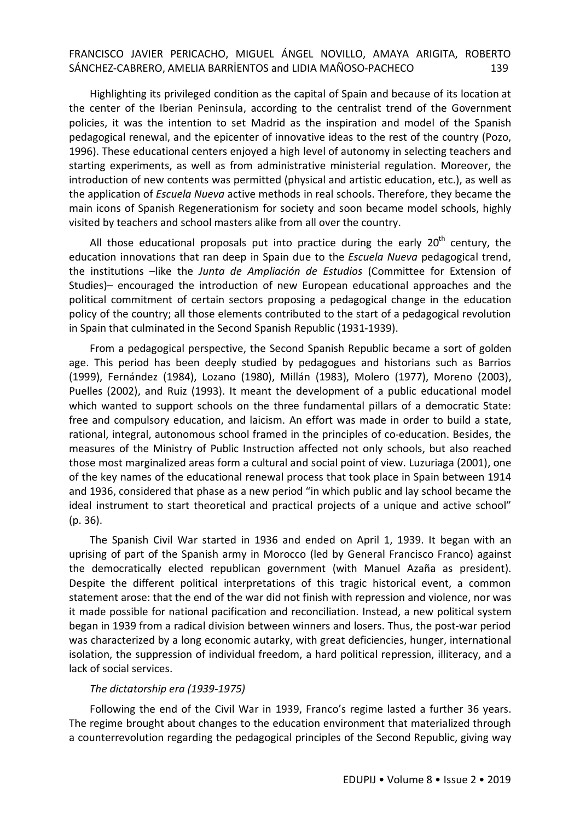Highlighting its privileged condition as the capital of Spain and because of its location at the center of the Iberian Peninsula, according to the centralist trend of the Government policies, it was the intention to set Madrid as the inspiration and model of the Spanish pedagogical renewal, and the epicenter of innovative ideas to the rest of the country (Pozo, 1996). These educational centers enjoyed a high level of autonomy in selecting teachers and starting experiments, as well as from administrative ministerial regulation. Moreover, the introduction of new contents was permitted (physical and artistic education, etc.), as well as the application of *Escuela Nueva* active methods in real schools. Therefore, they became the main icons of Spanish Regenerationism for society and soon became model schools, highly visited by teachers and school masters alike from all over the country.

All those educational proposals put into practice during the early  $20<sup>th</sup>$  century, the education innovations that ran deep in Spain due to the *Escuela Nueva* pedagogical trend, the institutions –like the *Junta de Ampliación de Estudios* (Committee for Extension of Studies)– encouraged the introduction of new European educational approaches and the political commitment of certain sectors proposing a pedagogical change in the education policy of the country; all those elements contributed to the start of a pedagogical revolution in Spain that culminated in the Second Spanish Republic (1931-1939).

From a pedagogical perspective, the Second Spanish Republic became a sort of golden age. This period has been deeply studied by pedagogues and historians such as Barrios (1999), Fernández (1984), Lozano (1980), Millán (1983), Molero (1977), Moreno (2003), Puelles (2002), and Ruiz (1993). It meant the development of a public educational model which wanted to support schools on the three fundamental pillars of a democratic State: free and compulsory education, and laicism. An effort was made in order to build a state, rational, integral, autonomous school framed in the principles of co-education. Besides, the measures of the Ministry of Public Instruction affected not only schools, but also reached those most marginalized areas form a cultural and social point of view. Luzuriaga (2001), one of the key names of the educational renewal process that took place in Spain between 1914 and 1936, considered that phase as a new period "in which public and lay school became the ideal instrument to start theoretical and practical projects of a unique and active school" (p. 36).

The Spanish Civil War started in 1936 and ended on April 1, 1939. It began with an uprising of part of the Spanish army in Morocco (led by General Francisco Franco) against the democratically elected republican government (with Manuel Azaña as president). Despite the different political interpretations of this tragic historical event, a common statement arose: that the end of the war did not finish with repression and violence, nor was it made possible for national pacification and reconciliation. Instead, a new political system began in 1939 from a radical division between winners and losers. Thus, the post-war period was characterized by a long economic autarky, with great deficiencies, hunger, international isolation, the suppression of individual freedom, a hard political repression, illiteracy, and a lack of social services.

### *The dictatorship era (1939-1975)*

Following the end of the Civil War in 1939, Franco's regime lasted a further 36 years. The regime brought about changes to the education environment that materialized through a counterrevolution regarding the pedagogical principles of the Second Republic, giving way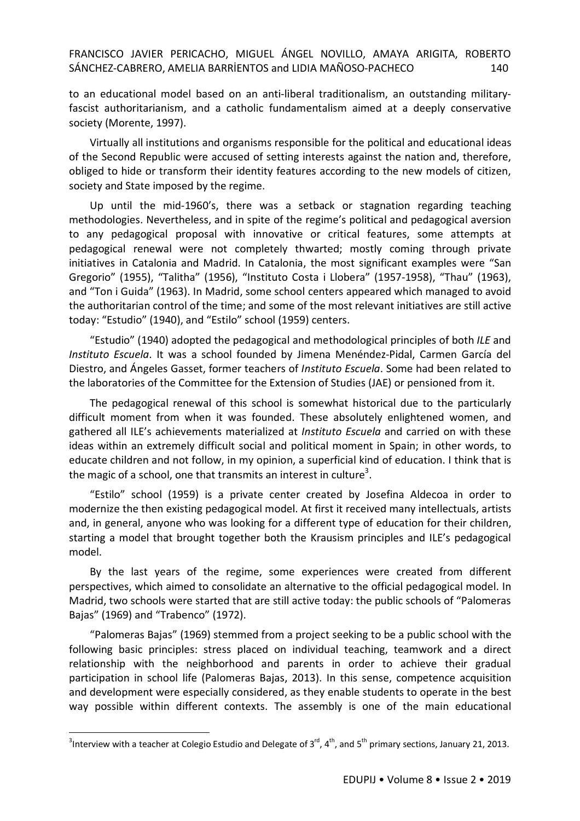to an educational model based on an anti-liberal traditionalism, an outstanding militaryfascist authoritarianism, and a catholic fundamentalism aimed at a deeply conservative society (Morente, 1997).

Virtually all institutions and organisms responsible for the political and educational ideas of the Second Republic were accused of setting interests against the nation and, therefore, obliged to hide or transform their identity features according to the new models of citizen, society and State imposed by the regime.

Up until the mid-1960's, there was a setback or stagnation regarding teaching methodologies. Nevertheless, and in spite of the regime's political and pedagogical aversion to any pedagogical proposal with innovative or critical features, some attempts at pedagogical renewal were not completely thwarted; mostly coming through private initiatives in Catalonia and Madrid. In Catalonia, the most significant examples were "San Gregorio" (1955), "Talitha" (1956), "Instituto Costa i Llobera" (1957-1958), "Thau" (1963), and "Ton i Guida" (1963). In Madrid, some school centers appeared which managed to avoid the authoritarian control of the time; and some of the most relevant initiatives are still active today: "Estudio" (1940), and "Estilo" school (1959) centers.

"Estudio" (1940) adopted the pedagogical and methodological principles of both *ILE* and *Instituto Escuela*. It was a school founded by Jimena Menéndez-Pidal, Carmen García del Diestro, and Ángeles Gasset, former teachers of *Instituto Escuela*. Some had been related to the laboratories of the Committee for the Extension of Studies (JAE) or pensioned from it.

The pedagogical renewal of this school is somewhat historical due to the particularly difficult moment from when it was founded. These absolutely enlightened women, and gathered all ILE's achievements materialized at *Instituto Escuela* and carried on with these ideas within an extremely difficult social and political moment in Spain; in other words, to educate children and not follow, in my opinion, a superficial kind of education. I think that is the magic of a school, one that transmits an interest in culture<sup>3</sup>.

"Estilo" school (1959) is a private center created by Josefina Aldecoa in order to modernize the then existing pedagogical model. At first it received many intellectuals, artists and, in general, anyone who was looking for a different type of education for their children, starting a model that brought together both the Krausism principles and ILE's pedagogical model.

By the last years of the regime, some experiences were created from different perspectives, which aimed to consolidate an alternative to the official pedagogical model. In Madrid, two schools were started that are still active today: the public schools of "Palomeras Bajas" (1969) and "Trabenco" (1972).

"Palomeras Bajas" (1969) stemmed from a project seeking to be a public school with the following basic principles: stress placed on individual teaching, teamwork and a direct relationship with the neighborhood and parents in order to achieve their gradual participation in school life (Palomeras Bajas, 2013). In this sense, competence acquisition and development were especially considered, as they enable students to operate in the best way possible within different contexts. The assembly is one of the main educational

 $\ddot{\phantom{a}}$ 

<sup>&</sup>lt;sup>3</sup>Interview with a teacher at Colegio Estudio and Delegate of 3<sup>rd</sup>, 4<sup>th</sup>, and 5<sup>th</sup> primary sections, January 21, 2013.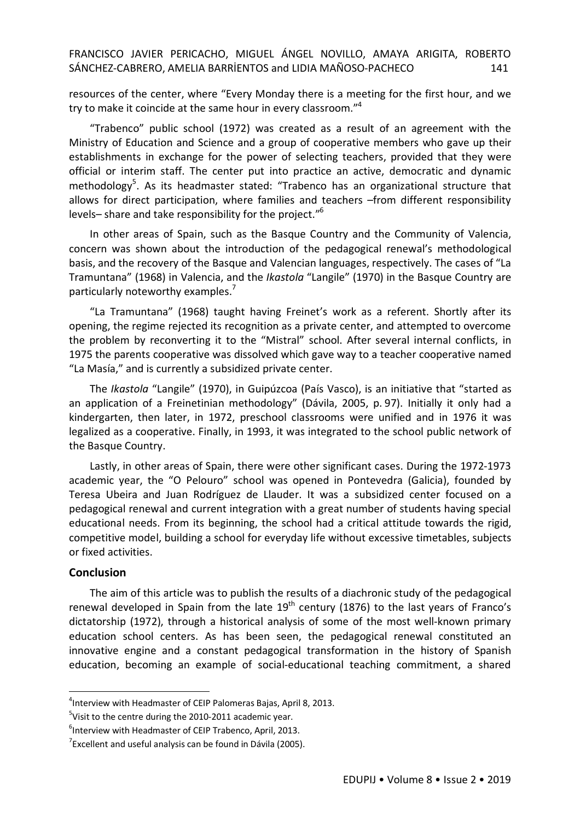resources of the center, where "Every Monday there is a meeting for the first hour, and we try to make it coincide at the same hour in every classroom."<sup>4</sup>

"Trabenco" public school (1972) was created as a result of an agreement with the Ministry of Education and Science and a group of cooperative members who gave up their establishments in exchange for the power of selecting teachers, provided that they were official or interim staff. The center put into practice an active, democratic and dynamic methodology<sup>5</sup>. As its headmaster stated: "Trabenco has an organizational structure that allows for direct participation, where families and teachers –from different responsibility levels– share and take responsibility for the project."<sup>6</sup>

In other areas of Spain, such as the Basque Country and the Community of Valencia, concern was shown about the introduction of the pedagogical renewal's methodological basis, and the recovery of the Basque and Valencian languages, respectively. The cases of "La Tramuntana" (1968) in Valencia, and the *Ikastola* "Langile" (1970) in the Basque Country are particularly noteworthy examples.<sup>7</sup>

"La Tramuntana" (1968) taught having Freinet's work as a referent. Shortly after its opening, the regime rejected its recognition as a private center, and attempted to overcome the problem by reconverting it to the "Mistral" school. After several internal conflicts, in 1975 the parents cooperative was dissolved which gave way to a teacher cooperative named "La Masía," and is currently a subsidized private center.

The *Ikastola* "Langile" (1970), in Guipúzcoa (País Vasco), is an initiative that "started as an application of a Freinetinian methodology" (Dávila, 2005, p. 97). Initially it only had a kindergarten, then later, in 1972, preschool classrooms were unified and in 1976 it was legalized as a cooperative. Finally, in 1993, it was integrated to the school public network of the Basque Country.

Lastly, in other areas of Spain, there were other significant cases. During the 1972-1973 academic year, the "O Pelouro" school was opened in Pontevedra (Galicia), founded by Teresa Ubeira and Juan Rodríguez de Llauder. It was a subsidized center focused on a pedagogical renewal and current integration with a great number of students having special educational needs. From its beginning, the school had a critical attitude towards the rigid, competitive model, building a school for everyday life without excessive timetables, subjects or fixed activities.

### **Conclusion**

 $\ddot{\phantom{a}}$ 

The aim of this article was to publish the results of a diachronic study of the pedagogical renewal developed in Spain from the late  $19<sup>th</sup>$  century (1876) to the last years of Franco's dictatorship (1972), through a historical analysis of some of the most well-known primary education school centers. As has been seen, the pedagogical renewal constituted an innovative engine and a constant pedagogical transformation in the history of Spanish education, becoming an example of social-educational teaching commitment, a shared

<sup>4</sup> Interview with Headmaster of CEIP Palomeras Bajas, April 8, 2013.

<sup>&</sup>lt;sup>5</sup>Visit to the centre during the 2010-2011 academic year.

<sup>&</sup>lt;sup>6</sup>Interview with Headmaster of CEIP Trabenco, April, 2013.

 $7$ Excellent and useful analysis can be found in Dávila (2005).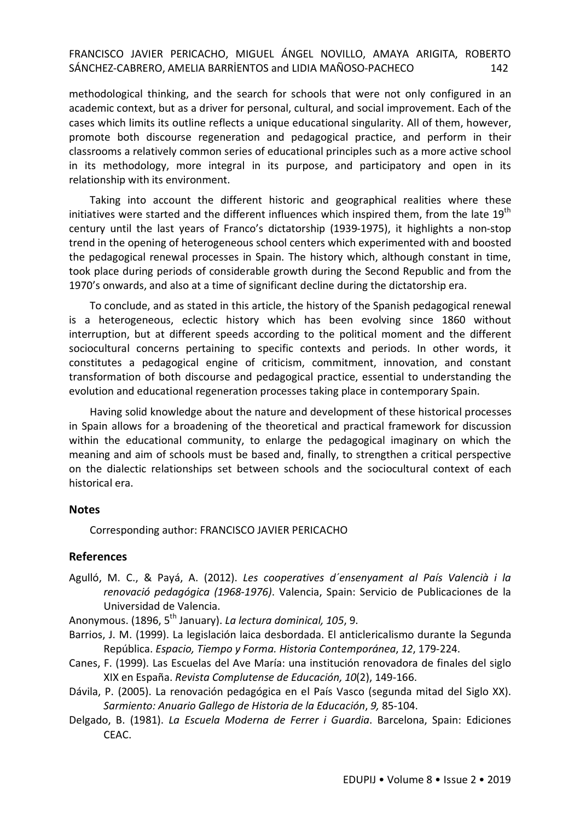methodological thinking, and the search for schools that were not only configured in an academic context, but as a driver for personal, cultural, and social improvement. Each of the cases which limits its outline reflects a unique educational singularity. All of them, however, promote both discourse regeneration and pedagogical practice, and perform in their classrooms a relatively common series of educational principles such as a more active school in its methodology, more integral in its purpose, and participatory and open in its relationship with its environment.

Taking into account the different historic and geographical realities where these initiatives were started and the different influences which inspired them, from the late 19<sup>th</sup> century until the last years of Franco's dictatorship (1939-1975), it highlights a non-stop trend in the opening of heterogeneous school centers which experimented with and boosted the pedagogical renewal processes in Spain. The history which, although constant in time, took place during periods of considerable growth during the Second Republic and from the 1970's onwards, and also at a time of significant decline during the dictatorship era.

To conclude, and as stated in this article, the history of the Spanish pedagogical renewal is a heterogeneous, eclectic history which has been evolving since 1860 without interruption, but at different speeds according to the political moment and the different sociocultural concerns pertaining to specific contexts and periods. In other words, it constitutes a pedagogical engine of criticism, commitment, innovation, and constant transformation of both discourse and pedagogical practice, essential to understanding the evolution and educational regeneration processes taking place in contemporary Spain.

Having solid knowledge about the nature and development of these historical processes in Spain allows for a broadening of the theoretical and practical framework for discussion within the educational community, to enlarge the pedagogical imaginary on which the meaning and aim of schools must be based and, finally, to strengthen a critical perspective on the dialectic relationships set between schools and the sociocultural context of each historical era.

### **Notes**

Corresponding author: FRANCISCO JAVIER PERICACHO

### **References**

Agulló, M. C., & Payá, A. (2012). *Les cooperatives d´ensenyament al País Valencià i la renovació pedagógica (1968-1976)*. Valencia, Spain: Servicio de Publicaciones de la Universidad de Valencia.

Anonymous. (1896, 5th January). *La lectura dominical, 105*, 9.

- Barrios, J. M. (1999). La legislación laica desbordada. El anticlericalismo durante la Segunda República. *Espacio, Tiempo y Forma. Historia Contemporánea*, *12*, 179-224.
- Canes, F. (1999). Las Escuelas del Ave María: una institución renovadora de finales del siglo XIX en España. *Revista Complutense de Educación, 10*(2), 149-166.
- Dávila, P. (2005). La renovación pedagógica en el País Vasco (segunda mitad del Siglo XX). *Sarmiento: Anuario Gallego de Historia de la Educación*, *9,* 85-104.
- Delgado, B. (1981). *La Escuela Moderna de Ferrer i Guardia*. Barcelona, Spain: Ediciones CEAC.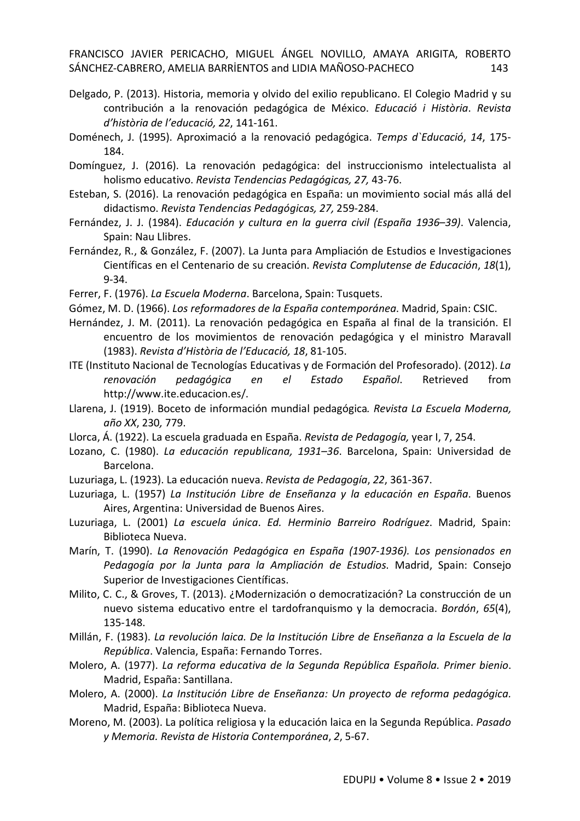- Delgado, P. (2013). Historia, memoria y olvido del exilio republicano. El Colegio Madrid y su contribución a la renovación pedagógica de México. *Educació i Història*. *Revista d'història de l'educació, 22*, 141-161.
- Doménech, J. (1995). Aproximació a la renovació pedagógica. *Temps d`Educació*, *14*, 175- 184.
- Domínguez, J. (2016). La renovación pedagógica: del instruccionismo intelectualista al holismo educativo. *Revista Tendencias Pedagógicas, 27,* 43-76.
- Esteban, S. (2016). La renovación pedagógica en España: un movimiento social más allá del didactismo. *Revista Tendencias Pedagógicas, 27,* 259-284.
- Fernández, J. J. (1984). *Educación y cultura en la guerra civil (España 1936–39)*. Valencia, Spain: Nau Llibres.
- Fernández, R., & González, F. (2007). La Junta para Ampliación de Estudios e Investigaciones Científicas en el Centenario de su creación. *Revista Complutense de Educación*, *18*(1), 9-34.
- Ferrer, F. (1976). *La Escuela Moderna*. Barcelona, Spain: Tusquets.
- Gómez, M. D. (1966). *Los reformadores de la España contemporánea*. Madrid, Spain: CSIC.
- Hernández, J. M. (2011). La renovación pedagógica en España al final de la transición. El encuentro de los movimientos de renovación pedagógica y el ministro Maravall (1983). *Revista d'Història de l'Educació, 18*, 81-105.
- ITE (Instituto Nacional de Tecnologías Educativas y de Formación del Profesorado). (2012). *La renovación pedagógica en el Estado Español*. Retrieved from http://www.ite.educacion.es/.
- Llarena, J. (1919). Boceto de información mundial pedagógica*. Revista La Escuela Moderna, año XX*, 230*,* 779.
- Llorca, Á. (1922). La escuela graduada en España. *Revista de Pedagogía,* year I, 7, 254.
- Lozano, C. (1980). *La educación republicana, 1931–36*. Barcelona, Spain: Universidad de Barcelona.
- Luzuriaga, L. (1923). La educación nueva. *Revista de Pedagogía*, *22*, 361-367.
- Luzuriaga, L. (1957) *La Institución Libre de Enseñanza y la educación en España*. Buenos Aires, Argentina: Universidad de Buenos Aires.
- Luzuriaga, L. (2001) *La escuela única*. *Ed. Herminio Barreiro Rodríguez*. Madrid, Spain: Biblioteca Nueva.
- Marín, T. (1990). *La Renovación Pedagógica en España (1907-1936). Los pensionados en Pedagogía por la Junta para la Ampliación de Estudios*. Madrid, Spain: Consejo Superior de Investigaciones Científicas.
- Milito, C. C., & Groves, T. (2013). ¿Modernización o democratización? La construcción de un nuevo sistema educativo entre el tardofranquismo y la democracia. *Bordón*, *65*(4), 135-148.
- Millán, F. (1983). *La revolución laica. De la Institución Libre de Enseñanza a la Escuela de la República*. Valencia, España: Fernando Torres.
- Molero, A. (1977). *La reforma educativa de la Segunda República Española. Primer bienio*. Madrid, España: Santillana.
- Molero, A. (2000). *La Institución Libre de Enseñanza: Un proyecto de reforma pedagógica.*  Madrid, España: Biblioteca Nueva.
- Moreno, M. (2003). La política religiosa y la educación laica en la Segunda República. *Pasado y Memoria. Revista de Historia Contemporánea*, *2*, 5-67.